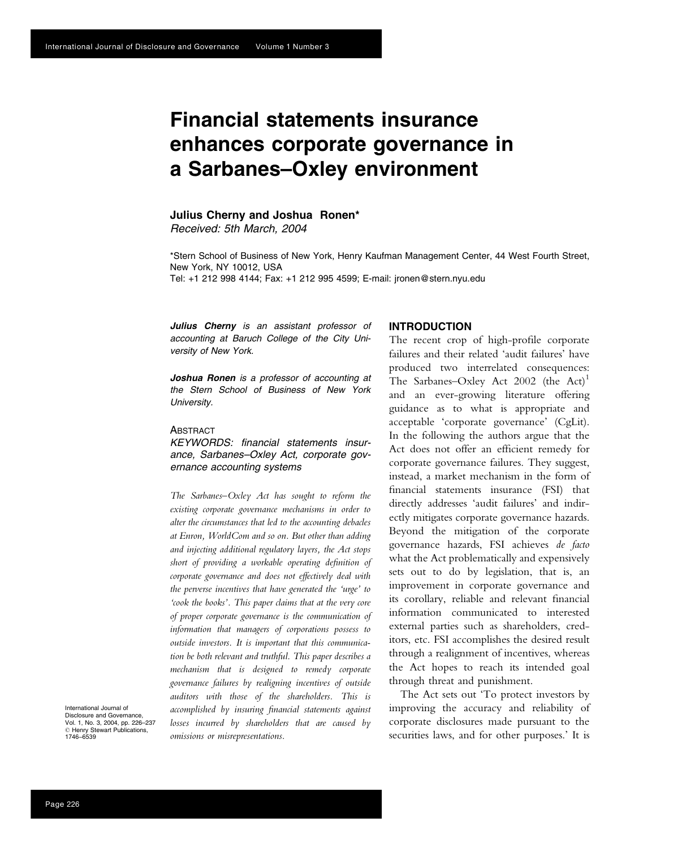# Financial statements insurance enhances corporate governance in a Sarbanes–Oxley environment

## Julius Cherny and Joshua Ronen\*

Received: 5th March, 2004

\*Stern School of Business of New York, Henry Kaufman Management Center, 44 West Fourth Street, New York, NY 10012, USA

Tel: +1 212 998 4144; Fax: +1 212 995 4599; E-mail: jronen@stern.nyu.edu

Julius Cherny is an assistant professor of accounting at Baruch College of the City University of New York.

Joshua Ronen is a professor of accounting at the Stern School of Business of New York University.

#### **ABSTRACT**

KEYWORDS: financial statements insurance, Sarbanes–Oxley Act, corporate governance accounting systems

The Sarbanes–Oxley Act has sought to reform the existing corporate governance mechanisms in order to alter the circumstances that led to the accounting debacles at Enron, WorldCom and so on. But other than adding and injecting additional regulatory layers, the Act stops short of providing a workable operating definition of corporate governance and does not effectively deal with the perverse incentives that have generated the 'urge' to 'cook the books'. This paper claims that at the very core of proper corporate governance is the communication of information that managers of corporations possess to outside investors. It is important that this communication be both relevant and truthful. This paper describes a mechanism that is designed to remedy corporate governance failures by realigning incentives of outside auditors with those of the shareholders. This is accomplished by insuring financial statements against losses incurred by shareholders that are caused by omissions or misrepresentations.

INTRODUCTION

The recent crop of high-profile corporate failures and their related 'audit failures' have produced two interrelated consequences: The Sarbanes–Oxley Act  $2002$  (the Act)<sup>1</sup> and an ever-growing literature offering guidance as to what is appropriate and acceptable 'corporate governance' (CgLit). In the following the authors argue that the Act does not offer an efficient remedy for corporate governance failures. They suggest, instead, a market mechanism in the form of financial statements insurance (FSI) that directly addresses 'audit failures' and indirectly mitigates corporate governance hazards. Beyond the mitigation of the corporate governance hazards, FSI achieves de facto what the Act problematically and expensively sets out to do by legislation, that is, an improvement in corporate governance and its corollary, reliable and relevant financial information communicated to interested external parties such as shareholders, creditors, etc. FSI accomplishes the desired result through a realignment of incentives, whereas the Act hopes to reach its intended goal through threat and punishment.

The Act sets out 'To protect investors by improving the accuracy and reliability of corporate disclosures made pursuant to the securities laws, and for other purposes.' It is

International Journal of Disclosure and Governance, Vol. 1, No. 3, 2004, pp. 226–237 C Henry Stewart Publications, 1746–6539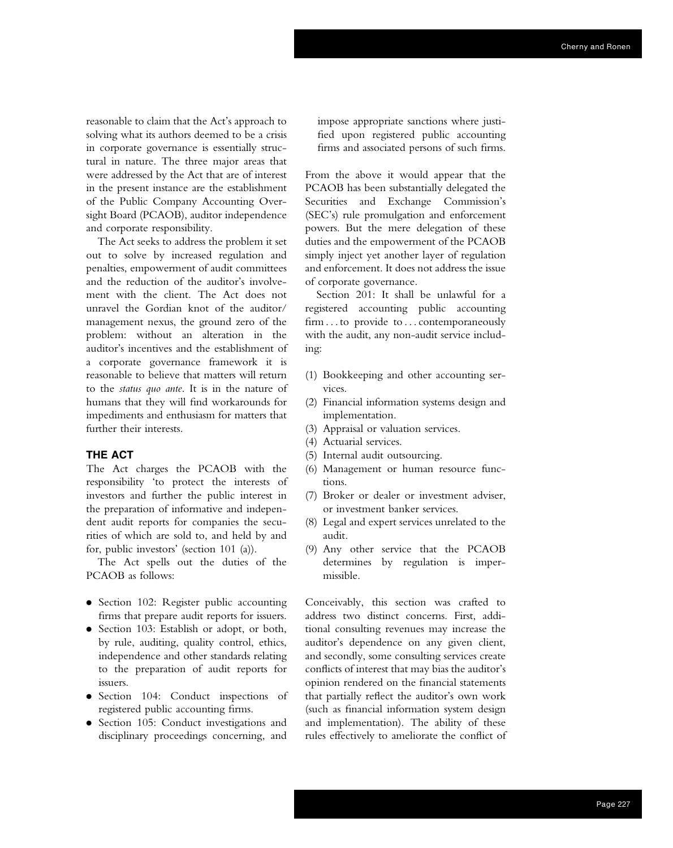reasonable to claim that the Act's approach to solving what its authors deemed to be a crisis in corporate governance is essentially structural in nature. The three major areas that were addressed by the Act that are of interest in the present instance are the establishment of the Public Company Accounting Oversight Board (PCAOB), auditor independence and corporate responsibility.

The Act seeks to address the problem it set out to solve by increased regulation and penalties, empowerment of audit committees and the reduction of the auditor's involvement with the client. The Act does not unravel the Gordian knot of the auditor/ management nexus, the ground zero of the problem: without an alteration in the auditor's incentives and the establishment of a corporate governance framework it is reasonable to believe that matters will return to the status quo ante. It is in the nature of humans that they will find workarounds for impediments and enthusiasm for matters that further their interests.

## THE ACT

The Act charges the PCAOB with the responsibility 'to protect the interests of investors and further the public interest in the preparation of informative and independent audit reports for companies the securities of which are sold to, and held by and for, public investors' (section 101 (a)).

The Act spells out the duties of the PCAOB as follows:

- Section 102: Register public accounting firms that prepare audit reports for issuers.
- . Section 103: Establish or adopt, or both, by rule, auditing, quality control, ethics, independence and other standards relating to the preparation of audit reports for issuers.
- . Section 104: Conduct inspections of registered public accounting firms.
- . Section 105: Conduct investigations and disciplinary proceedings concerning, and

impose appropriate sanctions where justified upon registered public accounting firms and associated persons of such firms.

From the above it would appear that the PCAOB has been substantially delegated the Securities and Exchange Commission's (SEC's) rule promulgation and enforcement powers. But the mere delegation of these duties and the empowerment of the PCAOB simply inject yet another layer of regulation and enforcement. It does not address the issue of corporate governance.

Section 201: It shall be unlawful for a registered accounting public accounting firm . . . to provide to . . . contemporaneously with the audit, any non-audit service including:

- (1) Bookkeeping and other accounting services.
- (2) Financial information systems design and implementation.
- (3) Appraisal or valuation services.
- (4) Actuarial services.
- (5) Internal audit outsourcing.
- (6) Management or human resource functions.
- (7) Broker or dealer or investment adviser, or investment banker services.
- (8) Legal and expert services unrelated to the audit.
- (9) Any other service that the PCAOB determines by regulation is impermissible.

Conceivably, this section was crafted to address two distinct concerns. First, additional consulting revenues may increase the auditor's dependence on any given client, and secondly, some consulting services create conflicts of interest that may bias the auditor's opinion rendered on the financial statements that partially reflect the auditor's own work (such as financial information system design and implementation). The ability of these rules effectively to ameliorate the conflict of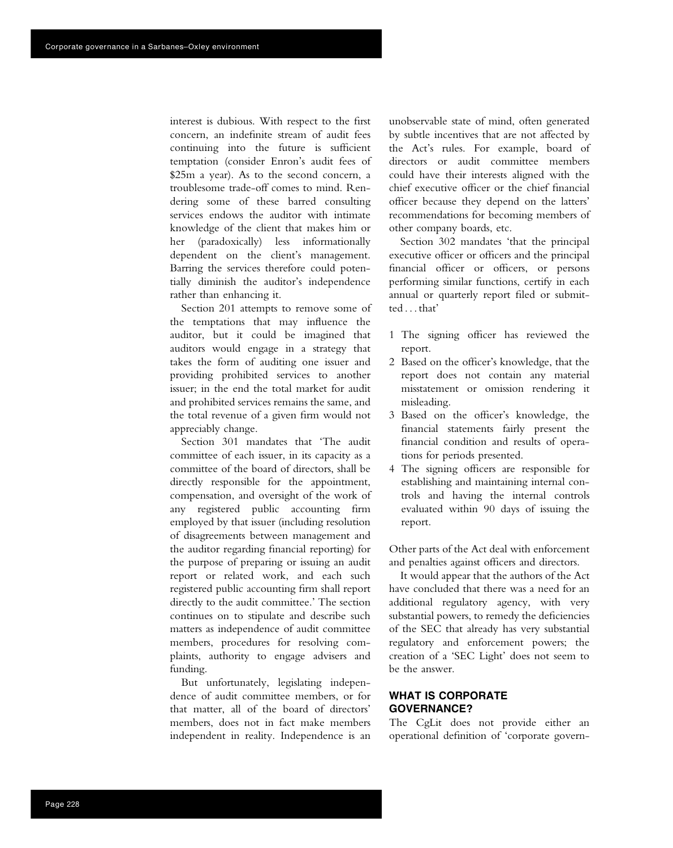interest is dubious. With respect to the first concern, an indefinite stream of audit fees continuing into the future is sufficient temptation (consider Enron's audit fees of \$25m a year). As to the second concern, a troublesome trade-off comes to mind. Rendering some of these barred consulting services endows the auditor with intimate knowledge of the client that makes him or her (paradoxically) less informationally dependent on the client's management. Barring the services therefore could potentially diminish the auditor's independence rather than enhancing it.

Section 201 attempts to remove some of the temptations that may influence the auditor, but it could be imagined that auditors would engage in a strategy that takes the form of auditing one issuer and providing prohibited services to another issuer; in the end the total market for audit and prohibited services remains the same, and the total revenue of a given firm would not appreciably change.

Section 301 mandates that 'The audit committee of each issuer, in its capacity as a committee of the board of directors, shall be directly responsible for the appointment, compensation, and oversight of the work of any registered public accounting firm employed by that issuer (including resolution of disagreements between management and the auditor regarding financial reporting) for the purpose of preparing or issuing an audit report or related work, and each such registered public accounting firm shall report directly to the audit committee.' The section continues on to stipulate and describe such matters as independence of audit committee members, procedures for resolving complaints, authority to engage advisers and funding.

But unfortunately, legislating independence of audit committee members, or for that matter, all of the board of directors' members, does not in fact make members independent in reality. Independence is an

unobservable state of mind, often generated by subtle incentives that are not affected by the Act's rules. For example, board of directors or audit committee members could have their interests aligned with the chief executive officer or the chief financial officer because they depend on the latters' recommendations for becoming members of other company boards, etc.

Section 302 mandates 'that the principal executive officer or officers and the principal financial officer or officers, or persons performing similar functions, certify in each annual or quarterly report filed or submitted . . . that'

- 1 The signing officer has reviewed the report.
- 2 Based on the officer's knowledge, that the report does not contain any material misstatement or omission rendering it misleading.
- 3 Based on the officer's knowledge, the financial statements fairly present the financial condition and results of operations for periods presented.
- 4 The signing officers are responsible for establishing and maintaining internal controls and having the internal controls evaluated within 90 days of issuing the report.

Other parts of the Act deal with enforcement and penalties against officers and directors.

It would appear that the authors of the Act have concluded that there was a need for an additional regulatory agency, with very substantial powers, to remedy the deficiencies of the SEC that already has very substantial regulatory and enforcement powers; the creation of a 'SEC Light' does not seem to be the answer.

## WHAT IS CORPORATE GOVERNANCE?

The CgLit does not provide either an operational definition of 'corporate govern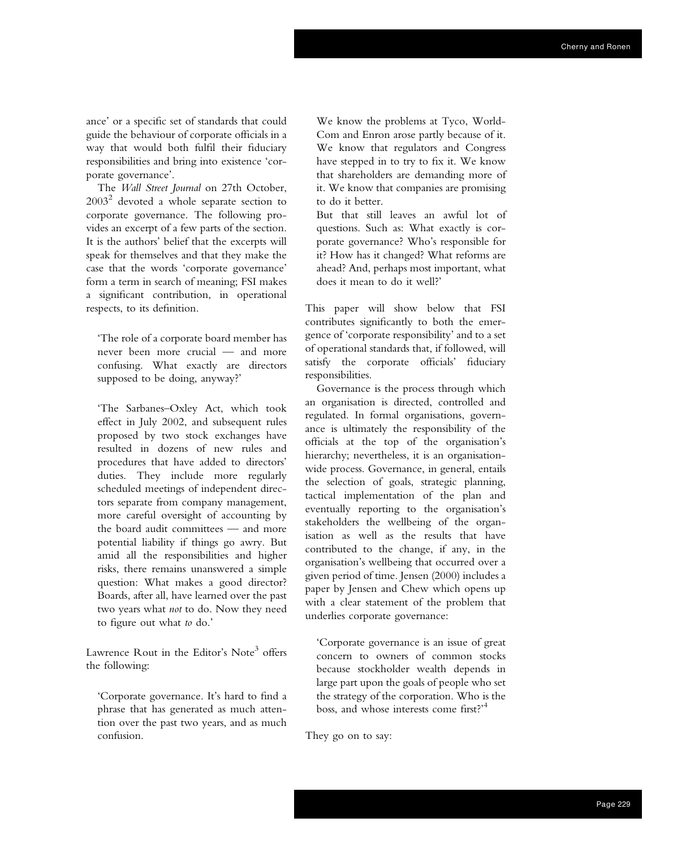ance' or a specific set of standards that could guide the behaviour of corporate officials in a way that would both fulfil their fiduciary responsibilities and bring into existence 'corporate governance'.

The Wall Street Journal on 27th October,  $2003<sup>2</sup>$  devoted a whole separate section to corporate governance. The following provides an excerpt of a few parts of the section. It is the authors' belief that the excerpts will speak for themselves and that they make the case that the words 'corporate governance' form a term in search of meaning; FSI makes a significant contribution, in operational respects, to its definition.

'The role of a corporate board member has never been more crucial — and more confusing. What exactly are directors supposed to be doing, anyway?'

'The Sarbanes–Oxley Act, which took effect in July 2002, and subsequent rules proposed by two stock exchanges have resulted in dozens of new rules and procedures that have added to directors' duties. They include more regularly scheduled meetings of independent directors separate from company management, more careful oversight of accounting by the board audit committees — and more potential liability if things go awry. But amid all the responsibilities and higher risks, there remains unanswered a simple question: What makes a good director? Boards, after all, have learned over the past two years what not to do. Now they need to figure out what to do.'

Lawrence Rout in the Editor's Note<sup>3</sup> offers the following:

'Corporate governance. It's hard to find a phrase that has generated as much attention over the past two years, and as much confusion.

We know the problems at Tyco, World-Com and Enron arose partly because of it. We know that regulators and Congress have stepped in to try to fix it. We know that shareholders are demanding more of it. We know that companies are promising to do it better.

But that still leaves an awful lot of questions. Such as: What exactly is corporate governance? Who's responsible for it? How has it changed? What reforms are ahead? And, perhaps most important, what does it mean to do it well?'

This paper will show below that FSI contributes significantly to both the emergence of 'corporate responsibility' and to a set of operational standards that, if followed, will satisfy the corporate officials' fiduciary responsibilities.

Governance is the process through which an organisation is directed, controlled and regulated. In formal organisations, governance is ultimately the responsibility of the officials at the top of the organisation's hierarchy; nevertheless, it is an organisationwide process. Governance, in general, entails the selection of goals, strategic planning, tactical implementation of the plan and eventually reporting to the organisation's stakeholders the wellbeing of the organisation as well as the results that have contributed to the change, if any, in the organisation's wellbeing that occurred over a given period of time. Jensen (2000) includes a paper by Jensen and Chew which opens up with a clear statement of the problem that underlies corporate governance:

'Corporate governance is an issue of great concern to owners of common stocks because stockholder wealth depends in large part upon the goals of people who set the strategy of the corporation. Who is the boss, and whose interests come first?' 4

They go on to say: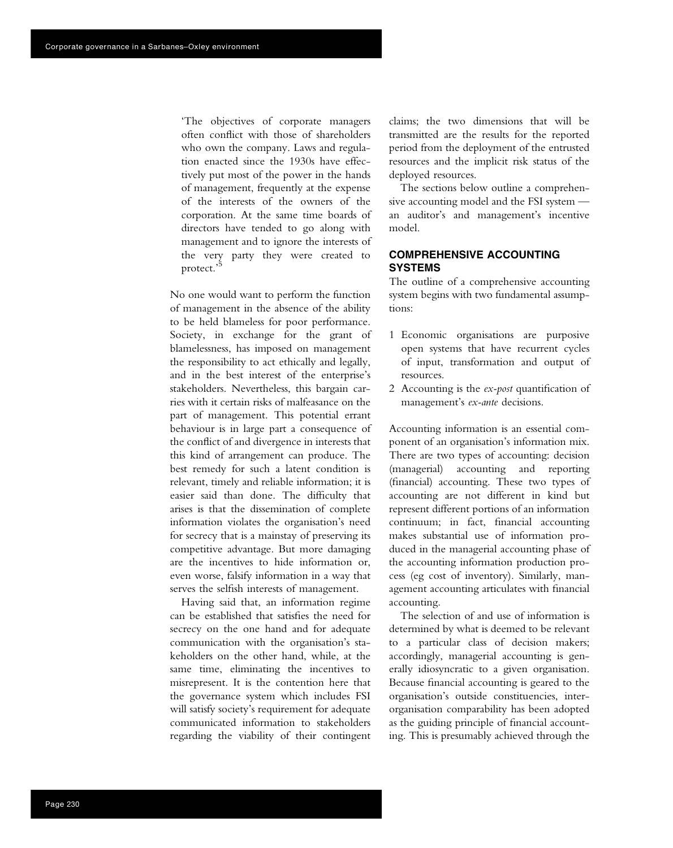'The objectives of corporate managers often conflict with those of shareholders who own the company. Laws and regulation enacted since the 1930s have effectively put most of the power in the hands of management, frequently at the expense of the interests of the owners of the corporation. At the same time boards of directors have tended to go along with management and to ignore the interests of the very party they were created to protect.'5

No one would want to perform the function of management in the absence of the ability to be held blameless for poor performance. Society, in exchange for the grant of blamelessness, has imposed on management the responsibility to act ethically and legally, and in the best interest of the enterprise's stakeholders. Nevertheless, this bargain carries with it certain risks of malfeasance on the part of management. This potential errant behaviour is in large part a consequence of the conflict of and divergence in interests that this kind of arrangement can produce. The best remedy for such a latent condition is relevant, timely and reliable information; it is easier said than done. The difficulty that arises is that the dissemination of complete information violates the organisation's need for secrecy that is a mainstay of preserving its competitive advantage. But more damaging are the incentives to hide information or, even worse, falsify information in a way that serves the selfish interests of management.

Having said that, an information regime can be established that satisfies the need for secrecy on the one hand and for adequate communication with the organisation's stakeholders on the other hand, while, at the same time, eliminating the incentives to misrepresent. It is the contention here that the governance system which includes FSI will satisfy society's requirement for adequate communicated information to stakeholders regarding the viability of their contingent

claims; the two dimensions that will be transmitted are the results for the reported period from the deployment of the entrusted resources and the implicit risk status of the deployed resources.

The sections below outline a comprehensive accounting model and the FSI system an auditor's and management's incentive model.

## COMPREHENSIVE ACCOUNTING SYSTEMS

The outline of a comprehensive accounting system begins with two fundamental assumptions:

- 1 Economic organisations are purposive open systems that have recurrent cycles of input, transformation and output of resources.
- 2 Accounting is the ex-post quantification of management's ex-ante decisions.

Accounting information is an essential component of an organisation's information mix. There are two types of accounting: decision (managerial) accounting and reporting (financial) accounting. These two types of accounting are not different in kind but represent different portions of an information continuum; in fact, financial accounting makes substantial use of information produced in the managerial accounting phase of the accounting information production process (eg cost of inventory). Similarly, management accounting articulates with financial accounting.

The selection of and use of information is determined by what is deemed to be relevant to a particular class of decision makers; accordingly, managerial accounting is generally idiosyncratic to a given organisation. Because financial accounting is geared to the organisation's outside constituencies, interorganisation comparability has been adopted as the guiding principle of financial accounting. This is presumably achieved through the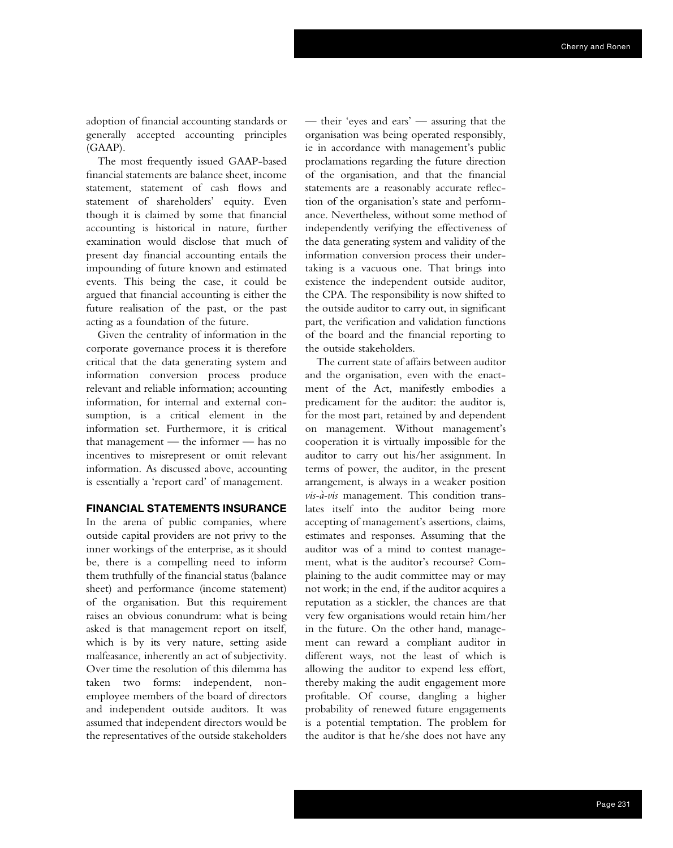adoption of financial accounting standards or generally accepted accounting principles (GAAP).

The most frequently issued GAAP-based financial statements are balance sheet, income statement, statement of cash flows and statement of shareholders' equity. Even though it is claimed by some that financial accounting is historical in nature, further examination would disclose that much of present day financial accounting entails the impounding of future known and estimated events. This being the case, it could be argued that financial accounting is either the future realisation of the past, or the past acting as a foundation of the future.

Given the centrality of information in the corporate governance process it is therefore critical that the data generating system and information conversion process produce relevant and reliable information; accounting information, for internal and external consumption, is a critical element in the information set. Furthermore, it is critical that management — the informer — has no incentives to misrepresent or omit relevant information. As discussed above, accounting is essentially a 'report card' of management.

### FINANCIAL STATEMENTS INSURANCE

In the arena of public companies, where outside capital providers are not privy to the inner workings of the enterprise, as it should be, there is a compelling need to inform them truthfully of the financial status (balance sheet) and performance (income statement) of the organisation. But this requirement raises an obvious conundrum: what is being asked is that management report on itself, which is by its very nature, setting aside malfeasance, inherently an act of subjectivity. Over time the resolution of this dilemma has taken two forms: independent, nonemployee members of the board of directors and independent outside auditors. It was assumed that independent directors would be the representatives of the outside stakeholders

— their 'eyes and ears' — assuring that the organisation was being operated responsibly, ie in accordance with management's public proclamations regarding the future direction of the organisation, and that the financial statements are a reasonably accurate reflection of the organisation's state and performance. Nevertheless, without some method of independently verifying the effectiveness of the data generating system and validity of the information conversion process their undertaking is a vacuous one. That brings into existence the independent outside auditor, the CPA. The responsibility is now shifted to the outside auditor to carry out, in significant part, the verification and validation functions of the board and the financial reporting to the outside stakeholders.

The current state of affairs between auditor and the organisation, even with the enactment of the Act, manifestly embodies a predicament for the auditor: the auditor is, for the most part, retained by and dependent on management. Without management's cooperation it is virtually impossible for the auditor to carry out his/her assignment. In terms of power, the auditor, in the present arrangement, is always in a weaker position  $vis-\hat{a}-vis$  management. This condition translates itself into the auditor being more accepting of management's assertions, claims, estimates and responses. Assuming that the auditor was of a mind to contest management, what is the auditor's recourse? Complaining to the audit committee may or may not work; in the end, if the auditor acquires a reputation as a stickler, the chances are that very few organisations would retain him/her in the future. On the other hand, management can reward a compliant auditor in different ways, not the least of which is allowing the auditor to expend less effort, thereby making the audit engagement more profitable. Of course, dangling a higher probability of renewed future engagements is a potential temptation. The problem for the auditor is that he/she does not have any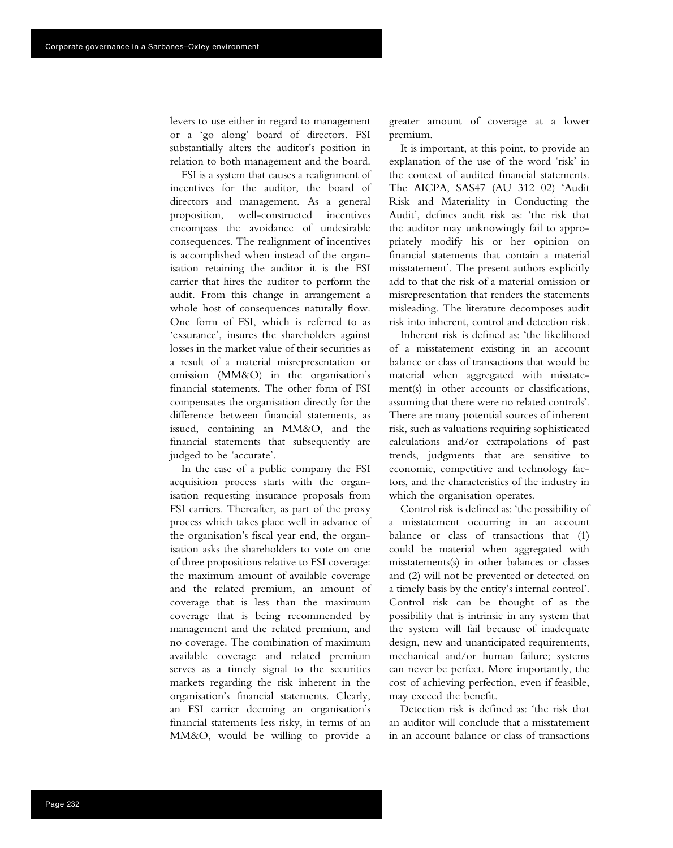levers to use either in regard to management or a 'go along' board of directors. FSI substantially alters the auditor's position in relation to both management and the board.

FSI is a system that causes a realignment of incentives for the auditor, the board of directors and management. As a general proposition, well-constructed incentives encompass the avoidance of undesirable consequences. The realignment of incentives is accomplished when instead of the organisation retaining the auditor it is the FSI carrier that hires the auditor to perform the audit. From this change in arrangement a whole host of consequences naturally flow. One form of FSI, which is referred to as 'exsurance', insures the shareholders against losses in the market value of their securities as a result of a material misrepresentation or omission (MM&O) in the organisation's financial statements. The other form of FSI compensates the organisation directly for the difference between financial statements, as issued, containing an MM&O, and the financial statements that subsequently are judged to be 'accurate'.

In the case of a public company the FSI acquisition process starts with the organisation requesting insurance proposals from FSI carriers. Thereafter, as part of the proxy process which takes place well in advance of the organisation's fiscal year end, the organisation asks the shareholders to vote on one of three propositions relative to FSI coverage: the maximum amount of available coverage and the related premium, an amount of coverage that is less than the maximum coverage that is being recommended by management and the related premium, and no coverage. The combination of maximum available coverage and related premium serves as a timely signal to the securities markets regarding the risk inherent in the organisation's financial statements. Clearly, an FSI carrier deeming an organisation's financial statements less risky, in terms of an MM&O, would be willing to provide a

greater amount of coverage at a lower premium.

It is important, at this point, to provide an explanation of the use of the word 'risk' in the context of audited financial statements. The AICPA, SAS47 (AU 312 02) 'Audit Risk and Materiality in Conducting the Audit', defines audit risk as: 'the risk that the auditor may unknowingly fail to appropriately modify his or her opinion on financial statements that contain a material misstatement'. The present authors explicitly add to that the risk of a material omission or misrepresentation that renders the statements misleading. The literature decomposes audit risk into inherent, control and detection risk.

Inherent risk is defined as: 'the likelihood of a misstatement existing in an account balance or class of transactions that would be material when aggregated with misstatement(s) in other accounts or classifications, assuming that there were no related controls'. There are many potential sources of inherent risk, such as valuations requiring sophisticated calculations and/or extrapolations of past trends, judgments that are sensitive to economic, competitive and technology factors, and the characteristics of the industry in which the organisation operates.

Control risk is defined as: 'the possibility of a misstatement occurring in an account balance or class of transactions that (1) could be material when aggregated with misstatements(s) in other balances or classes and (2) will not be prevented or detected on a timely basis by the entity's internal control'. Control risk can be thought of as the possibility that is intrinsic in any system that the system will fail because of inadequate design, new and unanticipated requirements, mechanical and/or human failure; systems can never be perfect. More importantly, the cost of achieving perfection, even if feasible, may exceed the benefit.

Detection risk is defined as: 'the risk that an auditor will conclude that a misstatement in an account balance or class of transactions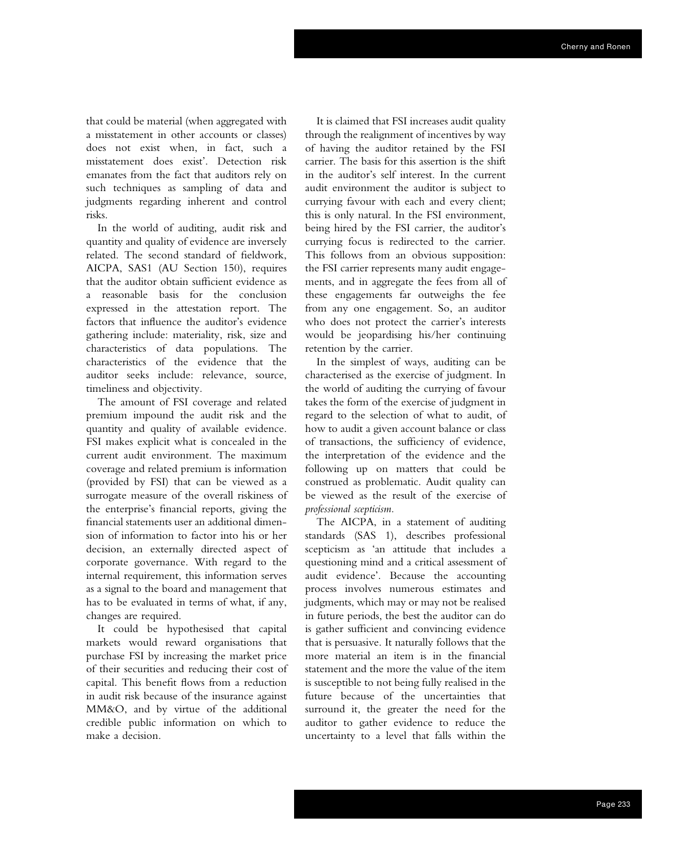that could be material (when aggregated with a misstatement in other accounts or classes) does not exist when, in fact, such a misstatement does exist'. Detection risk emanates from the fact that auditors rely on such techniques as sampling of data and judgments regarding inherent and control risks.

In the world of auditing, audit risk and quantity and quality of evidence are inversely related. The second standard of fieldwork, AICPA, SAS1 (AU Section 150), requires that the auditor obtain sufficient evidence as a reasonable basis for the conclusion expressed in the attestation report. The factors that influence the auditor's evidence gathering include: materiality, risk, size and characteristics of data populations. The characteristics of the evidence that the auditor seeks include: relevance, source, timeliness and objectivity.

The amount of FSI coverage and related premium impound the audit risk and the quantity and quality of available evidence. FSI makes explicit what is concealed in the current audit environment. The maximum coverage and related premium is information (provided by FSI) that can be viewed as a surrogate measure of the overall riskiness of the enterprise's financial reports, giving the financial statements user an additional dimension of information to factor into his or her decision, an externally directed aspect of corporate governance. With regard to the internal requirement, this information serves as a signal to the board and management that has to be evaluated in terms of what, if any, changes are required.

It could be hypothesised that capital markets would reward organisations that purchase FSI by increasing the market price of their securities and reducing their cost of capital. This benefit flows from a reduction in audit risk because of the insurance against MM&O, and by virtue of the additional credible public information on which to make a decision.

It is claimed that FSI increases audit quality through the realignment of incentives by way of having the auditor retained by the FSI carrier. The basis for this assertion is the shift in the auditor's self interest. In the current audit environment the auditor is subject to currying favour with each and every client; this is only natural. In the FSI environment, being hired by the FSI carrier, the auditor's currying focus is redirected to the carrier. This follows from an obvious supposition: the FSI carrier represents many audit engagements, and in aggregate the fees from all of these engagements far outweighs the fee from any one engagement. So, an auditor who does not protect the carrier's interests would be jeopardising his/her continuing retention by the carrier.

In the simplest of ways, auditing can be characterised as the exercise of judgment. In the world of auditing the currying of favour takes the form of the exercise of judgment in regard to the selection of what to audit, of how to audit a given account balance or class of transactions, the sufficiency of evidence, the interpretation of the evidence and the following up on matters that could be construed as problematic. Audit quality can be viewed as the result of the exercise of professional scepticism.

The AICPA, in a statement of auditing standards (SAS 1), describes professional scepticism as 'an attitude that includes a questioning mind and a critical assessment of audit evidence'. Because the accounting process involves numerous estimates and judgments, which may or may not be realised in future periods, the best the auditor can do is gather sufficient and convincing evidence that is persuasive. It naturally follows that the more material an item is in the financial statement and the more the value of the item is susceptible to not being fully realised in the future because of the uncertainties that surround it, the greater the need for the auditor to gather evidence to reduce the uncertainty to a level that falls within the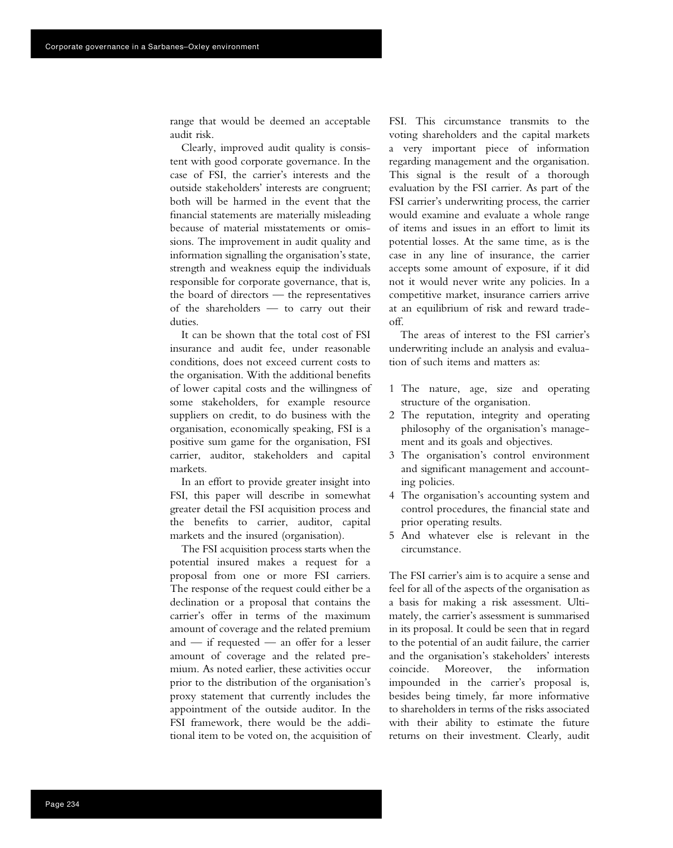range that would be deemed an acceptable audit risk.

Clearly, improved audit quality is consistent with good corporate governance. In the case of FSI, the carrier's interests and the outside stakeholders' interests are congruent; both will be harmed in the event that the financial statements are materially misleading because of material misstatements or omissions. The improvement in audit quality and information signalling the organisation's state, strength and weakness equip the individuals responsible for corporate governance, that is, the board of directors — the representatives of the shareholders — to carry out their duties.

It can be shown that the total cost of FSI insurance and audit fee, under reasonable conditions, does not exceed current costs to the organisation. With the additional benefits of lower capital costs and the willingness of some stakeholders, for example resource suppliers on credit, to do business with the organisation, economically speaking, FSI is a positive sum game for the organisation, FSI carrier, auditor, stakeholders and capital markets.

In an effort to provide greater insight into FSI, this paper will describe in somewhat greater detail the FSI acquisition process and the benefits to carrier, auditor, capital markets and the insured (organisation).

The FSI acquisition process starts when the potential insured makes a request for a proposal from one or more FSI carriers. The response of the request could either be a declination or a proposal that contains the carrier's offer in terms of the maximum amount of coverage and the related premium and — if requested — an offer for a lesser amount of coverage and the related premium. As noted earlier, these activities occur prior to the distribution of the organisation's proxy statement that currently includes the appointment of the outside auditor. In the FSI framework, there would be the additional item to be voted on, the acquisition of

FSI. This circumstance transmits to the voting shareholders and the capital markets a very important piece of information regarding management and the organisation. This signal is the result of a thorough evaluation by the FSI carrier. As part of the FSI carrier's underwriting process, the carrier would examine and evaluate a whole range of items and issues in an effort to limit its potential losses. At the same time, as is the case in any line of insurance, the carrier accepts some amount of exposure, if it did not it would never write any policies. In a competitive market, insurance carriers arrive at an equilibrium of risk and reward tradeoff.

The areas of interest to the FSI carrier's underwriting include an analysis and evaluation of such items and matters as:

- 1 The nature, age, size and operating structure of the organisation.
- 2 The reputation, integrity and operating philosophy of the organisation's management and its goals and objectives.
- 3 The organisation's control environment and significant management and accounting policies.
- 4 The organisation's accounting system and control procedures, the financial state and prior operating results.
- 5 And whatever else is relevant in the circumstance.

The FSI carrier's aim is to acquire a sense and feel for all of the aspects of the organisation as a basis for making a risk assessment. Ultimately, the carrier's assessment is summarised in its proposal. It could be seen that in regard to the potential of an audit failure, the carrier and the organisation's stakeholders' interests coincide. Moreover, the information impounded in the carrier's proposal is, besides being timely, far more informative to shareholders in terms of the risks associated with their ability to estimate the future returns on their investment. Clearly, audit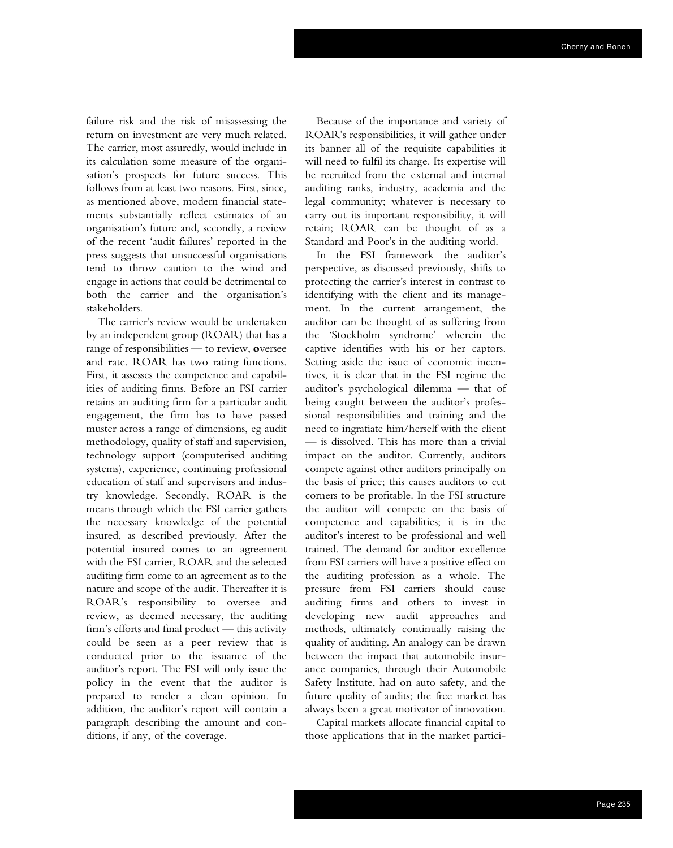failure risk and the risk of misassessing the return on investment are very much related. The carrier, most assuredly, would include in its calculation some measure of the organisation's prospects for future success. This follows from at least two reasons. First, since, as mentioned above, modern financial statements substantially reflect estimates of an organisation's future and, secondly, a review of the recent 'audit failures' reported in the press suggests that unsuccessful organisations tend to throw caution to the wind and engage in actions that could be detrimental to both the carrier and the organisation's stakeholders.

The carrier's review would be undertaken by an independent group (ROAR) that has a range of responsibilities — to review, oversee and rate. ROAR has two rating functions. First, it assesses the competence and capabilities of auditing firms. Before an FSI carrier retains an auditing firm for a particular audit engagement, the firm has to have passed muster across a range of dimensions, eg audit methodology, quality of staff and supervision, technology support (computerised auditing systems), experience, continuing professional education of staff and supervisors and industry knowledge. Secondly, ROAR is the means through which the FSI carrier gathers the necessary knowledge of the potential insured, as described previously. After the potential insured comes to an agreement with the FSI carrier, ROAR and the selected auditing firm come to an agreement as to the nature and scope of the audit. Thereafter it is ROAR's responsibility to oversee and review, as deemed necessary, the auditing firm's efforts and final product — this activity could be seen as a peer review that is conducted prior to the issuance of the auditor's report. The FSI will only issue the policy in the event that the auditor is prepared to render a clean opinion. In addition, the auditor's report will contain a paragraph describing the amount and conditions, if any, of the coverage.

Because of the importance and variety of ROAR's responsibilities, it will gather under its banner all of the requisite capabilities it will need to fulfil its charge. Its expertise will be recruited from the external and internal auditing ranks, industry, academia and the legal community; whatever is necessary to carry out its important responsibility, it will retain; ROAR can be thought of as a Standard and Poor's in the auditing world.

In the FSI framework the auditor's perspective, as discussed previously, shifts to protecting the carrier's interest in contrast to identifying with the client and its management. In the current arrangement, the auditor can be thought of as suffering from the 'Stockholm syndrome' wherein the captive identifies with his or her captors. Setting aside the issue of economic incentives, it is clear that in the FSI regime the auditor's psychological dilemma — that of being caught between the auditor's professional responsibilities and training and the need to ingratiate him/herself with the client — is dissolved. This has more than a trivial impact on the auditor. Currently, auditors compete against other auditors principally on the basis of price; this causes auditors to cut corners to be profitable. In the FSI structure the auditor will compete on the basis of competence and capabilities; it is in the auditor's interest to be professional and well trained. The demand for auditor excellence from FSI carriers will have a positive effect on the auditing profession as a whole. The pressure from FSI carriers should cause auditing firms and others to invest in developing new audit approaches and methods, ultimately continually raising the quality of auditing. An analogy can be drawn between the impact that automobile insurance companies, through their Automobile Safety Institute, had on auto safety, and the future quality of audits; the free market has always been a great motivator of innovation.

Capital markets allocate financial capital to those applications that in the market partici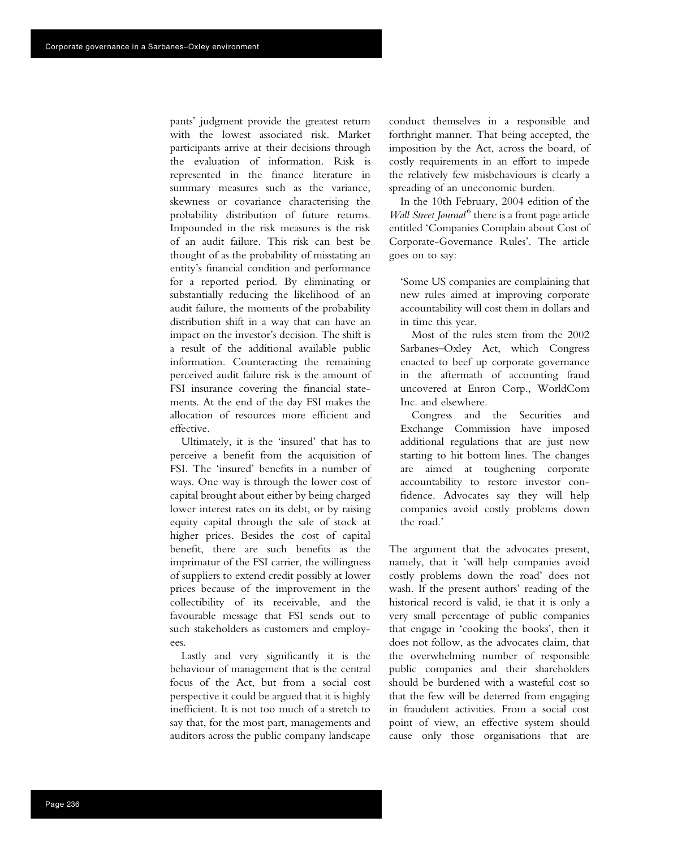pants' judgment provide the greatest return with the lowest associated risk. Market participants arrive at their decisions through the evaluation of information. Risk is represented in the finance literature in summary measures such as the variance, skewness or covariance characterising the probability distribution of future returns. Impounded in the risk measures is the risk of an audit failure. This risk can best be thought of as the probability of misstating an entity's financial condition and performance for a reported period. By eliminating or substantially reducing the likelihood of an audit failure, the moments of the probability distribution shift in a way that can have an impact on the investor's decision. The shift is a result of the additional available public information. Counteracting the remaining perceived audit failure risk is the amount of FSI insurance covering the financial statements. At the end of the day FSI makes the allocation of resources more efficient and effective.

Ultimately, it is the 'insured' that has to perceive a benefit from the acquisition of FSI. The 'insured' benefits in a number of ways. One way is through the lower cost of capital brought about either by being charged lower interest rates on its debt, or by raising equity capital through the sale of stock at higher prices. Besides the cost of capital benefit, there are such benefits as the imprimatur of the FSI carrier, the willingness of suppliers to extend credit possibly at lower prices because of the improvement in the collectibility of its receivable, and the favourable message that FSI sends out to such stakeholders as customers and employees.

Lastly and very significantly it is the behaviour of management that is the central focus of the Act, but from a social cost perspective it could be argued that it is highly inefficient. It is not too much of a stretch to say that, for the most part, managements and auditors across the public company landscape

conduct themselves in a responsible and forthright manner. That being accepted, the imposition by the Act, across the board, of costly requirements in an effort to impede the relatively few misbehaviours is clearly a spreading of an uneconomic burden.

In the 10th February, 2004 edition of the Wall Street Journal<sup> $6$ </sup> there is a front page article entitled 'Companies Complain about Cost of Corporate-Governance Rules'. The article goes on to say:

'Some US companies are complaining that new rules aimed at improving corporate accountability will cost them in dollars and in time this year.

Most of the rules stem from the 2002 Sarbanes–Oxley Act, which Congress enacted to beef up corporate governance in the aftermath of accounting fraud uncovered at Enron Corp., WorldCom Inc. and elsewhere.

Congress and the Securities and Exchange Commission have imposed additional regulations that are just now starting to hit bottom lines. The changes are aimed at toughening corporate accountability to restore investor confidence. Advocates say they will help companies avoid costly problems down the road.'

The argument that the advocates present, namely, that it 'will help companies avoid costly problems down the road' does not wash. If the present authors' reading of the historical record is valid, ie that it is only a very small percentage of public companies that engage in 'cooking the books', then it does not follow, as the advocates claim, that the overwhelming number of responsible public companies and their shareholders should be burdened with a wasteful cost so that the few will be deterred from engaging in fraudulent activities. From a social cost point of view, an effective system should cause only those organisations that are